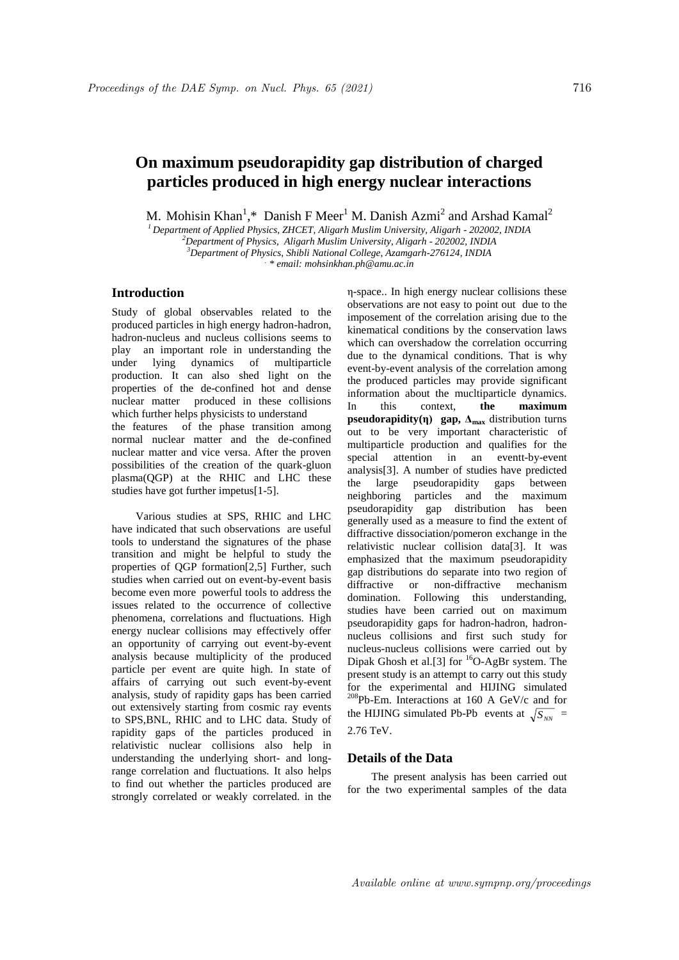# **On maximum pseudorapidity gap distribution of charged particles produced in high energy nuclear interactions**

M. Mohisin Khan<sup>1</sup>,\* Danish F Meer<sup>1</sup> M. Danish Azmi<sup>2</sup> and Arshad Kamal<sup>2</sup>

*<sup>1</sup> Department of Applied Physics, ZHCET, Aligarh Muslim University, Aligarh - 202002, INDIA*

*<sup>2</sup>Department of Physics, Aligarh Muslim University, Aligarh - 202002, INDIA*

*<sup>3</sup>Department of Physics, Shibli National College, Azamgarh-276124, INDIA*

*. \* email: mohsinkhan.ph@amu.ac.in*

## **Introduction**

Study of global observables related to the produced particles in high energy hadron-hadron, hadron-nucleus and nucleus collisions seems to play an important role in understanding the under lying dynamics of multiparticle production. It can also shed light on the properties of the de-confined hot and dense nuclear matter produced in these collisions which further helps physicists to understand the features of the phase transition among normal nuclear matter and the de-confined nuclear matter and vice versa. After the proven possibilities of the creation of the quark-gluon plasma(QGP) at the RHIC and LHC these studies have got further impetus[1-5].

Various studies at SPS, RHIC and LHC have indicated that such observations are useful tools to understand the signatures of the phase transition and might be helpful to study the properties of QGP formation[2,5] Further, such studies when carried out on event-by-event basis become even more powerful tools to address the issues related to the occurrence of collective phenomena, correlations and fluctuations. High energy nuclear collisions may effectively offer an opportunity of carrying out event-by-event analysis because multiplicity of the produced particle per event are quite high. In state of affairs of carrying out such event-by-event analysis, study of rapidity gaps has been carried out extensively starting from cosmic ray events to SPS,BNL, RHIC and to LHC data. Study of rapidity gaps of the particles produced in relativistic nuclear collisions also help in understanding the underlying short- and longrange correlation and fluctuations. It also helps to find out whether the particles produced are strongly correlated or weakly correlated. in the

η-space.. In high energy nuclear collisions these observations are not easy to point out due to the imposement of the correlation arising due to the kinematical conditions by the conservation laws which can overshadow the correlation occurring due to the dynamical conditions. That is why event-by-event analysis of the correlation among the produced particles may provide significant information about the mucltiparticle dynamics. In this context, **the maximum pseudorapidity(η)** gap,  $\Delta_{\text{max}}$  distribution turns out to be very important characteristic of multiparticle production and qualifies for the special attention in an eventt-by-event analysis[3]. A number of studies have predicted the large pseudorapidity gaps between neighboring particles and the maximum pseudorapidity gap distribution has been generally used as a measure to find the extent of diffractive dissociation/pomeron exchange in the relativistic nuclear collision data[3]. It was emphasized that the maximum pseudorapidity gap distributions do separate into two region of diffractive or non-diffractive mechanism domination. Following this understanding, studies have been carried out on maximum pseudorapidity gaps for hadron-hadron, hadronnucleus collisions and first such study for nucleus-nucleus collisions were carried out by Dipak Ghosh et al.[3] for <sup>16</sup>O-AgBr system. The present study is an attempt to carry out this study for the experimental and HIJING simulated <sup>208</sup>Pb-Em. Interactions at 160 A GeV/c and for the HIJING simulated Pb-Pb events at  $\sqrt{S_{NN}}$  = 2.76 TeV.

## **Details of the Data**

The present analysis has been carried out for the two experimental samples of the data